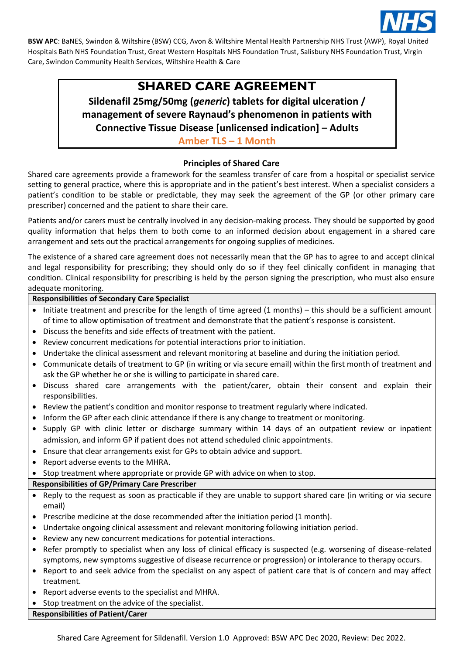

# **SHARED CARE AGREEMENT**

**Sildenafil 25mg/50mg (***generic***) tablets for digital ulceration / management of severe Raynaud's phenomenon in patients with Connective Tissue Disease [unlicensed indication] – Adults**

**Amber TLS – 1 Month**

## **Principles of Shared Care**

Shared care agreements provide a framework for the seamless transfer of care from a hospital or specialist service setting to general practice, where this is appropriate and in the patient's best interest. When a specialist considers a patient's condition to be stable or predictable, they may seek the agreement of the GP (or other primary care prescriber) concerned and the patient to share their care.

Patients and/or carers must be centrally involved in any decision-making process. They should be supported by good quality information that helps them to both come to an informed decision about engagement in a shared care arrangement and sets out the practical arrangements for ongoing supplies of medicines.

The existence of a shared care agreement does not necessarily mean that the GP has to agree to and accept clinical and legal responsibility for prescribing; they should only do so if they feel clinically confident in managing that condition. Clinical responsibility for prescribing is held by the person signing the prescription, who must also ensure adequate monitoring.

#### **Responsibilities of Secondary Care Specialist**

- Initiate treatment and prescribe for the length of time agreed (1 months) this should be a sufficient amount of time to allow optimisation of treatment and demonstrate that the patient's response is consistent.
- Discuss the benefits and side effects of treatment with the patient.
- Review concurrent medications for potential interactions prior to initiation.
- Undertake the clinical assessment and relevant monitoring at baseline and during the initiation period.
- Communicate details of treatment to GP (in writing or via secure email) within the first month of treatment and ask the GP whether he or she is willing to participate in shared care.
- Discuss shared care arrangements with the patient/carer, obtain their consent and explain their responsibilities.
- Review the patient's condition and monitor response to treatment regularly where indicated.
- Inform the GP after each clinic attendance if there is any change to treatment or monitoring.
- Supply GP with clinic letter or discharge summary within 14 days of an outpatient review or inpatient admission, and inform GP if patient does not attend scheduled clinic appointments.
- Ensure that clear arrangements exist for GPs to obtain advice and support.
- Report adverse events to the MHRA.
- Stop treatment where appropriate or provide GP with advice on when to stop.

## **Responsibilities of GP/Primary Care Prescriber**

- Reply to the request as soon as practicable if they are unable to support shared care (in writing or via secure email)
- Prescribe medicine at the dose recommended after the initiation period (1 month).
- Undertake ongoing clinical assessment and relevant monitoring following initiation period.
- Review any new concurrent medications for potential interactions.
- Refer promptly to specialist when any loss of clinical efficacy is suspected (e.g. worsening of disease-related symptoms, new symptoms suggestive of disease recurrence or progression) or intolerance to therapy occurs.
- Report to and seek advice from the specialist on any aspect of patient care that is of concern and may affect treatment.
- Report adverse events to the specialist and MHRA.
- Stop treatment on the advice of the specialist.

### **Responsibilities of Patient/Carer**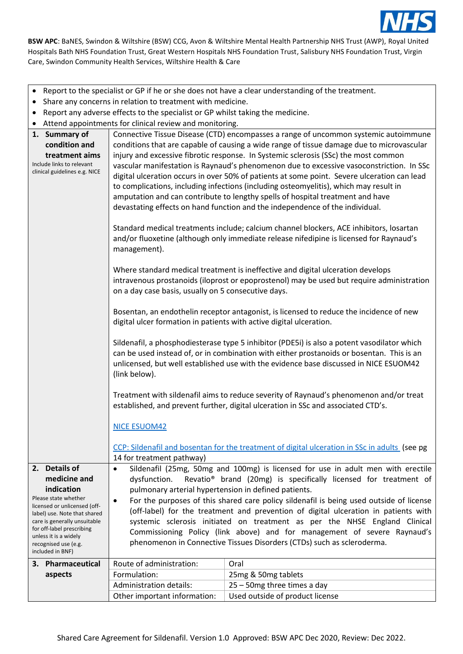

- Report to the specialist or GP if he or she does not have a clear understanding of the treatment.
- Share any concerns in relation to treatment with medicine.
- Report any adverse effects to the specialist or GP whilst taking the medicine.
- Attend appointments for clinical review and monitoring.

|  | 1. Summary of<br>condition and<br>treatment aims<br>Include links to relevant<br>clinical guidelines e.g. NICE                                                                                                            | Connective Tissue Disease (CTD) encompasses a range of uncommon systemic autoimmune<br>conditions that are capable of causing a wide range of tissue damage due to microvascular<br>injury and excessive fibrotic response. In Systemic sclerosis (SSc) the most common<br>vascular manifestation is Raynaud's phenomenon due to excessive vasoconstriction. In SSc<br>digital ulceration occurs in over 50% of patients at some point. Severe ulceration can lead<br>to complications, including infections (including osteomyelitis), which may result in<br>amputation and can contribute to lengthy spells of hospital treatment and have<br>devastating effects on hand function and the independence of the individual.<br>Standard medical treatments include; calcium channel blockers, ACE inhibitors, losartan |                                                                                         |  |
|--|---------------------------------------------------------------------------------------------------------------------------------------------------------------------------------------------------------------------------|--------------------------------------------------------------------------------------------------------------------------------------------------------------------------------------------------------------------------------------------------------------------------------------------------------------------------------------------------------------------------------------------------------------------------------------------------------------------------------------------------------------------------------------------------------------------------------------------------------------------------------------------------------------------------------------------------------------------------------------------------------------------------------------------------------------------------|-----------------------------------------------------------------------------------------|--|
|  |                                                                                                                                                                                                                           | management).                                                                                                                                                                                                                                                                                                                                                                                                                                                                                                                                                                                                                                                                                                                                                                                                             | and/or fluoxetine (although only immediate release nifedipine is licensed for Raynaud's |  |
|  |                                                                                                                                                                                                                           | Where standard medical treatment is ineffective and digital ulceration develops<br>intravenous prostanoids (iloprost or epoprostenol) may be used but require administration<br>on a day case basis, usually on 5 consecutive days.                                                                                                                                                                                                                                                                                                                                                                                                                                                                                                                                                                                      |                                                                                         |  |
|  |                                                                                                                                                                                                                           | Bosentan, an endothelin receptor antagonist, is licensed to reduce the incidence of new<br>digital ulcer formation in patients with active digital ulceration.                                                                                                                                                                                                                                                                                                                                                                                                                                                                                                                                                                                                                                                           |                                                                                         |  |
|  |                                                                                                                                                                                                                           | Sildenafil, a phosphodiesterase type 5 inhibitor (PDE5i) is also a potent vasodilator which<br>can be used instead of, or in combination with either prostanoids or bosentan. This is an<br>unlicensed, but well established use with the evidence base discussed in NICE ESUOM42<br>(link below).                                                                                                                                                                                                                                                                                                                                                                                                                                                                                                                       |                                                                                         |  |
|  |                                                                                                                                                                                                                           | Treatment with sildenafil aims to reduce severity of Raynaud's phenomenon and/or treat<br>established, and prevent further, digital ulceration in SSc and associated CTD's.                                                                                                                                                                                                                                                                                                                                                                                                                                                                                                                                                                                                                                              |                                                                                         |  |
|  |                                                                                                                                                                                                                           | <b>NICE ESUOM42</b>                                                                                                                                                                                                                                                                                                                                                                                                                                                                                                                                                                                                                                                                                                                                                                                                      |                                                                                         |  |
|  |                                                                                                                                                                                                                           | CCP: Sildenafil and bosentan for the treatment of digital ulceration in SSc in adults (see pg<br>14 for treatment pathway)                                                                                                                                                                                                                                                                                                                                                                                                                                                                                                                                                                                                                                                                                               |                                                                                         |  |
|  | 2. Details of<br>medicine and<br>indication<br>Please state whether<br>licensed or unlicensed (off-<br>label) use. Note that shared<br>care is generally unsuitable<br>for off-label prescribing<br>unless it is a widely | Sildenafil (25mg, 50mg and 100mg) is licensed for use in adult men with erectile<br>$\bullet$<br>Revatio <sup>®</sup> brand (20mg) is specifically licensed for treatment of<br>dysfunction.<br>pulmonary arterial hypertension in defined patients.<br>For the purposes of this shared care policy sildenafil is being used outside of license<br>$\bullet$<br>(off-label) for the treatment and prevention of digital ulceration in patients with<br>systemic sclerosis initiated on treatment as per the NHSE England Clinical<br>Commissioning Policy (link above) and for management of severe Raynaud's                                                                                                                                                                                                            |                                                                                         |  |
|  | recognised use (e.g.<br>included in BNF)                                                                                                                                                                                  |                                                                                                                                                                                                                                                                                                                                                                                                                                                                                                                                                                                                                                                                                                                                                                                                                          | phenomenon in Connective Tissues Disorders (CTDs) such as scleroderma.                  |  |
|  | 3. Pharmaceutical                                                                                                                                                                                                         | Route of administration:                                                                                                                                                                                                                                                                                                                                                                                                                                                                                                                                                                                                                                                                                                                                                                                                 | Oral                                                                                    |  |
|  | aspects                                                                                                                                                                                                                   | Formulation:                                                                                                                                                                                                                                                                                                                                                                                                                                                                                                                                                                                                                                                                                                                                                                                                             | 25mg & 50mg tablets                                                                     |  |
|  |                                                                                                                                                                                                                           | <b>Administration details:</b>                                                                                                                                                                                                                                                                                                                                                                                                                                                                                                                                                                                                                                                                                                                                                                                           | 25 - 50mg three times a day                                                             |  |
|  |                                                                                                                                                                                                                           | Other important information:                                                                                                                                                                                                                                                                                                                                                                                                                                                                                                                                                                                                                                                                                                                                                                                             | Used outside of product license                                                         |  |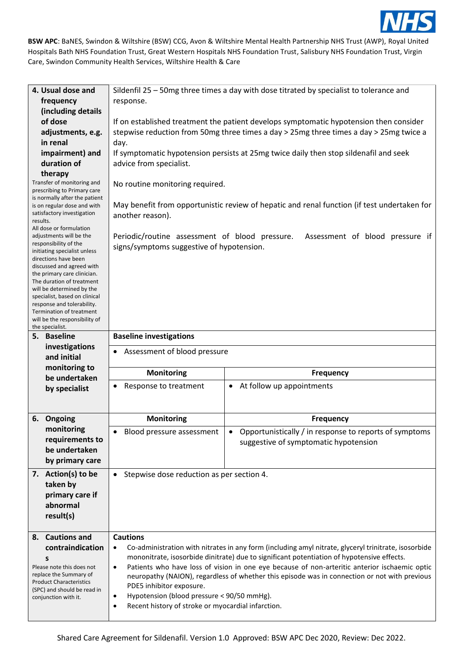

| 4. Usual dose and<br>frequency                                                                                                                                                                                                                                                                                                                                                                                                                                                                                                                                                                                                                                                                 | Sildenfil 25 - 50mg three times a day with dose titrated by specialist to tolerance and<br>response.                                                                                                                                                                                                                                                                                                                                                                                                                                                                                                 |                                                                                                 |  |  |
|------------------------------------------------------------------------------------------------------------------------------------------------------------------------------------------------------------------------------------------------------------------------------------------------------------------------------------------------------------------------------------------------------------------------------------------------------------------------------------------------------------------------------------------------------------------------------------------------------------------------------------------------------------------------------------------------|------------------------------------------------------------------------------------------------------------------------------------------------------------------------------------------------------------------------------------------------------------------------------------------------------------------------------------------------------------------------------------------------------------------------------------------------------------------------------------------------------------------------------------------------------------------------------------------------------|-------------------------------------------------------------------------------------------------|--|--|
| (including details<br>of dose<br>adjustments, e.g.<br>in renal<br>impairment) and<br>duration of<br>therapy<br>Transfer of monitoring and<br>prescribing to Primary care<br>is normally after the patient<br>is on regular dose and with<br>satisfactory investigation<br>results.<br>All dose or formulation<br>adjustments will be the<br>responsibility of the<br>initiating specialist unless<br>directions have been<br>discussed and agreed with<br>the primary care clinician.<br>The duration of treatment<br>will be determined by the<br>specialist, based on clinical<br>response and tolerability.<br>Termination of treatment<br>will be the responsibility of<br>the specialist. | If on established treatment the patient develops symptomatic hypotension then consider<br>stepwise reduction from 50mg three times a day > 25mg three times a day > 25mg twice a<br>day.<br>If symptomatic hypotension persists at 25mg twice daily then stop sildenafil and seek<br>advice from specialist.<br>No routine monitoring required.<br>May benefit from opportunistic review of hepatic and renal function (if test undertaken for<br>another reason).<br>Periodic/routine assessment of blood pressure.<br>Assessment of blood pressure if<br>signs/symptoms suggestive of hypotension. |                                                                                                 |  |  |
| 5. Baseline                                                                                                                                                                                                                                                                                                                                                                                                                                                                                                                                                                                                                                                                                    | <b>Baseline investigations</b>                                                                                                                                                                                                                                                                                                                                                                                                                                                                                                                                                                       |                                                                                                 |  |  |
| investigations<br>and initial                                                                                                                                                                                                                                                                                                                                                                                                                                                                                                                                                                                                                                                                  | Assessment of blood pressure                                                                                                                                                                                                                                                                                                                                                                                                                                                                                                                                                                         |                                                                                                 |  |  |
| monitoring to<br>be undertaken                                                                                                                                                                                                                                                                                                                                                                                                                                                                                                                                                                                                                                                                 | <b>Monitoring</b>                                                                                                                                                                                                                                                                                                                                                                                                                                                                                                                                                                                    | <b>Frequency</b>                                                                                |  |  |
| by specialist                                                                                                                                                                                                                                                                                                                                                                                                                                                                                                                                                                                                                                                                                  | Response to treatment                                                                                                                                                                                                                                                                                                                                                                                                                                                                                                                                                                                | At follow up appointments<br>$\bullet$                                                          |  |  |
| 6. Ongoing                                                                                                                                                                                                                                                                                                                                                                                                                                                                                                                                                                                                                                                                                     | <b>Monitoring</b>                                                                                                                                                                                                                                                                                                                                                                                                                                                                                                                                                                                    | <b>Frequency</b>                                                                                |  |  |
| monitoring<br>requirements to<br>be undertaken<br>by primary care                                                                                                                                                                                                                                                                                                                                                                                                                                                                                                                                                                                                                              | Blood pressure assessment                                                                                                                                                                                                                                                                                                                                                                                                                                                                                                                                                                            | Opportunistically / in response to reports of symptoms<br>suggestive of symptomatic hypotension |  |  |
| 7. Action(s) to be<br>taken by<br>primary care if<br>abnormal<br>result(s)                                                                                                                                                                                                                                                                                                                                                                                                                                                                                                                                                                                                                     | Stepwise dose reduction as per section 4.<br>$\bullet$                                                                                                                                                                                                                                                                                                                                                                                                                                                                                                                                               |                                                                                                 |  |  |
| 8. Cautions and<br>contraindication<br>s<br>Please note this does not<br>replace the Summary of<br><b>Product Characteristics</b><br>(SPC) and should be read in<br>conjunction with it.                                                                                                                                                                                                                                                                                                                                                                                                                                                                                                       | <b>Cautions</b><br>Co-administration with nitrates in any form (including amyl nitrate, glyceryl trinitrate, isosorbide<br>mononitrate, isosorbide dinitrate) due to significant potentiation of hypotensive effects.<br>Patients who have loss of vision in one eye because of non-arteritic anterior ischaemic optic<br>$\bullet$<br>neuropathy (NAION), regardless of whether this episode was in connection or not with previous<br>PDE5 inhibitor exposure.<br>Hypotension (blood pressure < 90/50 mmHg).<br>٠<br>Recent history of stroke or myocardial infarction.                            |                                                                                                 |  |  |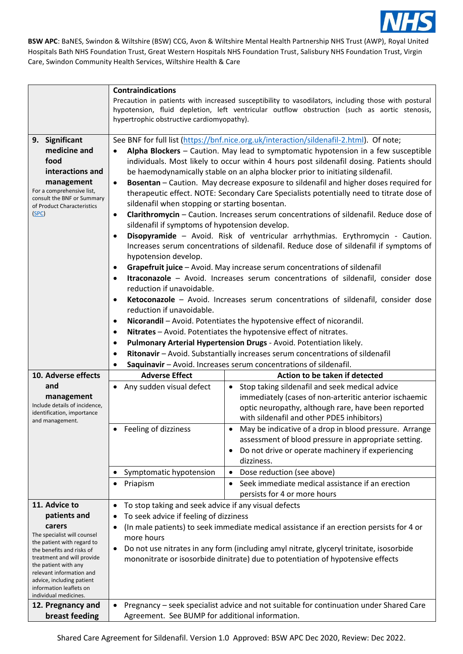

|                                                         | <b>Contraindications</b>                                                                                                                                                   |                                                                                             |  |  |
|---------------------------------------------------------|----------------------------------------------------------------------------------------------------------------------------------------------------------------------------|---------------------------------------------------------------------------------------------|--|--|
|                                                         | Precaution in patients with increased susceptibility to vasodilators, including those with postural                                                                        |                                                                                             |  |  |
|                                                         | hypotension, fluid depletion, left ventricular outflow obstruction (such as aortic stenosis,                                                                               |                                                                                             |  |  |
|                                                         | hypertrophic obstructive cardiomyopathy).                                                                                                                                  |                                                                                             |  |  |
|                                                         |                                                                                                                                                                            |                                                                                             |  |  |
| 9. Significant<br>medicine and                          | See BNF for full list (https://bnf.nice.org.uk/interaction/sildenafil-2.html). Of note;                                                                                    |                                                                                             |  |  |
| food                                                    | Alpha Blockers - Caution. May lead to symptomatic hypotension in a few susceptible<br>$\bullet$                                                                            |                                                                                             |  |  |
| interactions and                                        | individuals. Most likely to occur within 4 hours post sildenafil dosing. Patients should<br>be haemodynamically stable on an alpha blocker prior to initiating sildenafil. |                                                                                             |  |  |
| management                                              | Bosentan - Caution. May decrease exposure to sildenafil and higher doses required for<br>$\bullet$                                                                         |                                                                                             |  |  |
| For a comprehensive list,                               |                                                                                                                                                                            | therapeutic effect. NOTE: Secondary Care Specialists potentially need to titrate dose of    |  |  |
| consult the BNF or Summary                              | sildenafil when stopping or starting bosentan.                                                                                                                             |                                                                                             |  |  |
| of Product Characteristics<br>(SPC)                     | Clarithromycin - Caution. Increases serum concentrations of sildenafil. Reduce dose of<br>$\bullet$                                                                        |                                                                                             |  |  |
|                                                         | sildenafil if symptoms of hypotension develop.                                                                                                                             |                                                                                             |  |  |
|                                                         | Disopyramide - Avoid. Risk of ventricular arrhythmias. Erythromycin - Caution.<br>$\bullet$                                                                                |                                                                                             |  |  |
|                                                         | Increases serum concentrations of sildenafil. Reduce dose of sildenafil if symptoms of                                                                                     |                                                                                             |  |  |
|                                                         | hypotension develop.                                                                                                                                                       |                                                                                             |  |  |
|                                                         | Grapefruit juice - Avoid. May increase serum concentrations of sildenafil<br>$\bullet$                                                                                     |                                                                                             |  |  |
|                                                         | Itraconazole - Avoid. Increases serum concentrations of sildenafil, consider dose<br>$\bullet$                                                                             |                                                                                             |  |  |
|                                                         | reduction if unavoidable.                                                                                                                                                  |                                                                                             |  |  |
|                                                         | Ketoconazole - Avoid. Increases serum concentrations of sildenafil, consider dose<br>$\bullet$                                                                             |                                                                                             |  |  |
|                                                         | reduction if unavoidable.                                                                                                                                                  |                                                                                             |  |  |
|                                                         | Nicorandil - Avoid. Potentiates the hypotensive effect of nicorandil.<br>$\bullet$                                                                                         |                                                                                             |  |  |
|                                                         | Nitrates - Avoid. Potentiates the hypotensive effect of nitrates.<br>$\bullet$                                                                                             |                                                                                             |  |  |
|                                                         | Pulmonary Arterial Hypertension Drugs - Avoid. Potentiation likely.<br>$\bullet$                                                                                           |                                                                                             |  |  |
|                                                         | Ritonavir - Avoid. Substantially increases serum concentrations of sildenafil<br>$\bullet$                                                                                 |                                                                                             |  |  |
|                                                         | Saquinavir - Avoid. Increases serum concentrations of sildenafil.                                                                                                          |                                                                                             |  |  |
| 10. Adverse effects                                     | <b>Adverse Effect</b>                                                                                                                                                      | Action to be taken if detected                                                              |  |  |
| and                                                     | • Any sudden visual defect                                                                                                                                                 | Stop taking sildenafil and seek medical advice<br>$\bullet$                                 |  |  |
| management<br>Include details of incidence,             |                                                                                                                                                                            | immediately (cases of non-arteritic anterior ischaemic                                      |  |  |
| identification, importance                              |                                                                                                                                                                            | optic neuropathy, although rare, have been reported                                         |  |  |
| and management.                                         |                                                                                                                                                                            | with sildenafil and other PDE5 inhibitors)                                                  |  |  |
|                                                         | Feeling of dizziness<br>$\bullet$                                                                                                                                          | May be indicative of a drop in blood pressure. Arrange<br>$\bullet$                         |  |  |
|                                                         |                                                                                                                                                                            | assessment of blood pressure in appropriate setting.                                        |  |  |
|                                                         |                                                                                                                                                                            | Do not drive or operate machinery if experiencing<br>$\bullet$<br>dizziness.                |  |  |
|                                                         |                                                                                                                                                                            |                                                                                             |  |  |
|                                                         | Symptomatic hypotension                                                                                                                                                    | Dose reduction (see above)<br>$\bullet$<br>Seek immediate medical assistance if an erection |  |  |
|                                                         | Priapism<br>$\bullet$                                                                                                                                                      | $\bullet$<br>persists for 4 or more hours                                                   |  |  |
| 11. Advice to                                           |                                                                                                                                                                            |                                                                                             |  |  |
| patients and                                            | To stop taking and seek advice if any visual defects                                                                                                                       |                                                                                             |  |  |
| carers                                                  | To seek advice if feeling of dizziness<br>٠                                                                                                                                |                                                                                             |  |  |
| The specialist will counsel                             | (In male patients) to seek immediate medical assistance if an erection persists for 4 or<br>٠<br>more hours                                                                |                                                                                             |  |  |
| the patient with regard to<br>the benefits and risks of | Do not use nitrates in any form (including amyl nitrate, glyceryl trinitate, isosorbide<br>$\bullet$                                                                       |                                                                                             |  |  |
| treatment and will provide                              | mononitrate or isosorbide dinitrate) due to potentiation of hypotensive effects                                                                                            |                                                                                             |  |  |
| the patient with any                                    |                                                                                                                                                                            |                                                                                             |  |  |
| relevant information and<br>advice, including patient   |                                                                                                                                                                            |                                                                                             |  |  |
| information leaflets on                                 |                                                                                                                                                                            |                                                                                             |  |  |
| individual medicines.<br>12. Pregnancy and              | Pregnancy - seek specialist advice and not suitable for continuation under Shared Care                                                                                     |                                                                                             |  |  |
| breast feeding                                          | Agreement. See BUMP for additional information.                                                                                                                            |                                                                                             |  |  |
|                                                         |                                                                                                                                                                            |                                                                                             |  |  |